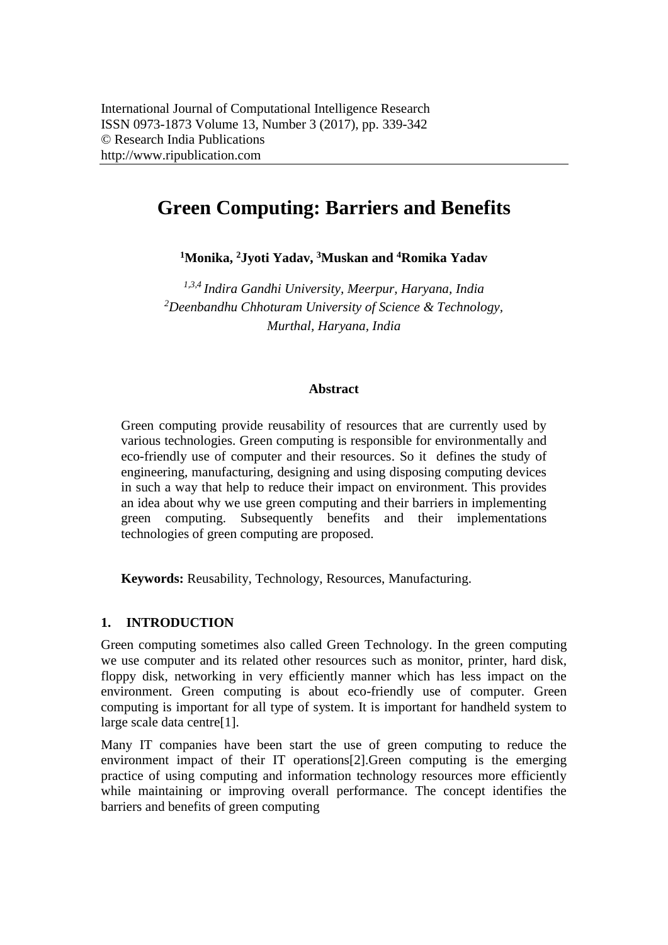# **Green Computing: Barriers and Benefits**

**<sup>1</sup>Monika, <sup>2</sup>Jyoti Yadav, <sup>3</sup>Muskan and <sup>4</sup>Romika Yadav**

*1,3,4 Indira Gandhi University, Meerpur, Haryana, India <sup>2</sup>Deenbandhu Chhoturam University of Science & Technology, Murthal, Haryana, India*

#### **Abstract**

Green computing provide reusability of resources that are currently used by various technologies. Green computing is responsible for environmentally and eco-friendly use of computer and their resources. So it defines the study of engineering, manufacturing, designing and using disposing computing devices in such a way that help to reduce their impact on environment. This provides an idea about why we use green computing and their barriers in implementing green computing. Subsequently benefits and their implementations technologies of green computing are proposed.

**Keywords:** Reusability, Technology, Resources, Manufacturing.

# **1. INTRODUCTION**

Green computing sometimes also called Green Technology. In the green computing we use computer and its related other resources such as monitor, printer, hard disk, floppy disk, networking in very efficiently manner which has less impact on the environment. Green computing is about eco-friendly use of computer. Green computing is important for all type of system. It is important for handheld system to large scale data centre[1].

Many IT companies have been start the use of green computing to reduce the environment impact of their IT operations[2].Green computing is the emerging practice of using computing and information technology resources more efficiently while maintaining or improving overall performance. The concept identifies the barriers and benefits of green computing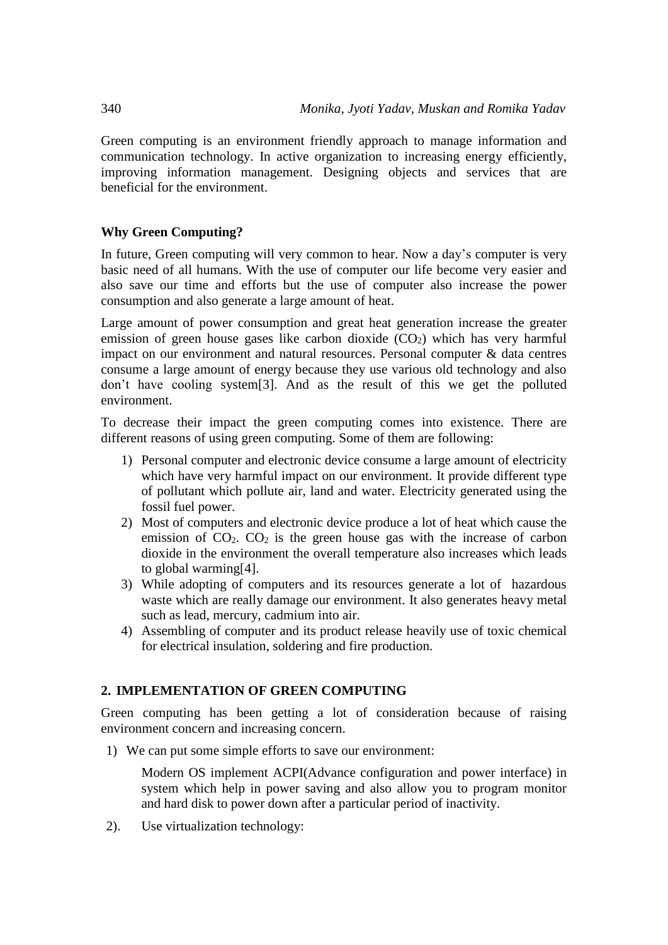Green computing is an environment friendly approach to manage information and communication technology. In active organization to increasing energy efficiently, improving information management. Designing objects and services that are beneficial for the environment.

#### **Why Green Computing?**

In future, Green computing will very common to hear. Now a day's computer is very basic need of all humans. With the use of computer our life become very easier and also save our time and efforts but the use of computer also increase the power consumption and also generate a large amount of heat.

Large amount of power consumption and great heat generation increase the greater emission of green house gases like carbon dioxide  $(CO<sub>2</sub>)$  which has very harmful impact on our environment and natural resources. Personal computer & data centres consume a large amount of energy because they use various old technology and also don't have cooling system[3]. And as the result of this we get the polluted environment.

To decrease their impact the green computing comes into existence. There are different reasons of using green computing. Some of them are following:

- 1) Personal computer and electronic device consume a large amount of electricity which have very harmful impact on our environment. It provide different type of pollutant which pollute air, land and water. Electricity generated using the fossil fuel power.
- 2) Most of computers and electronic device produce a lot of heat which cause the emission of  $CO<sub>2</sub>$ .  $CO<sub>2</sub>$  is the green house gas with the increase of carbon dioxide in the environment the overall temperature also increases which leads to global warming[4].
- 3) While adopting of computers and its resources generate a lot of hazardous waste which are really damage our environment. It also generates heavy metal such as lead, mercury, cadmium into air.
- 4) Assembling of computer and its product release heavily use of toxic chemical for electrical insulation, soldering and fire production.

# **2. IMPLEMENTATION OF GREEN COMPUTING**

Green computing has been getting a lot of consideration because of raising environment concern and increasing concern.

1) We can put some simple efforts to save our environment:

Modern OS implement ACPI(Advance configuration and power interface) in system which help in power saving and also allow you to program monitor and hard disk to power down after a particular period of inactivity.

2). Use virtualization technology: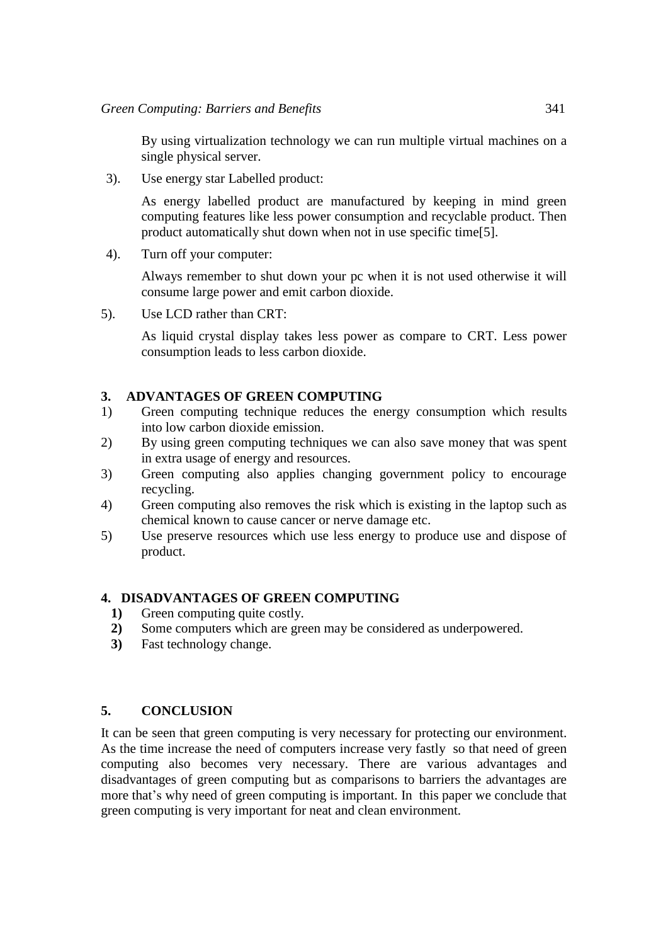By using virtualization technology we can run multiple virtual machines on a single physical server.

3). Use energy star Labelled product:

As energy labelled product are manufactured by keeping in mind green computing features like less power consumption and recyclable product. Then product automatically shut down when not in use specific time[5].

4). Turn off your computer:

Always remember to shut down your pc when it is not used otherwise it will consume large power and emit carbon dioxide.

5). Use LCD rather than CRT:

As liquid crystal display takes less power as compare to CRT. Less power consumption leads to less carbon dioxide.

# **3. ADVANTAGES OF GREEN COMPUTING**

- 1) Green computing technique reduces the energy consumption which results into low carbon dioxide emission.
- 2) By using green computing techniques we can also save money that was spent in extra usage of energy and resources.
- 3) Green computing also applies changing government policy to encourage recycling.
- 4) Green computing also removes the risk which is existing in the laptop such as chemical known to cause cancer or nerve damage etc.
- 5) Use preserve resources which use less energy to produce use and dispose of product.

# **4. DISADVANTAGES OF GREEN COMPUTING**

- **1)** Green computing quite costly.
- **2)** Some computers which are green may be considered as underpowered.
- **3)** Fast technology change.

#### **5. CONCLUSION**

It can be seen that green computing is very necessary for protecting our environment. As the time increase the need of computers increase very fastly so that need of green computing also becomes very necessary. There are various advantages and disadvantages of green computing but as comparisons to barriers the advantages are more that's why need of green computing is important. In this paper we conclude that green computing is very important for neat and clean environment.